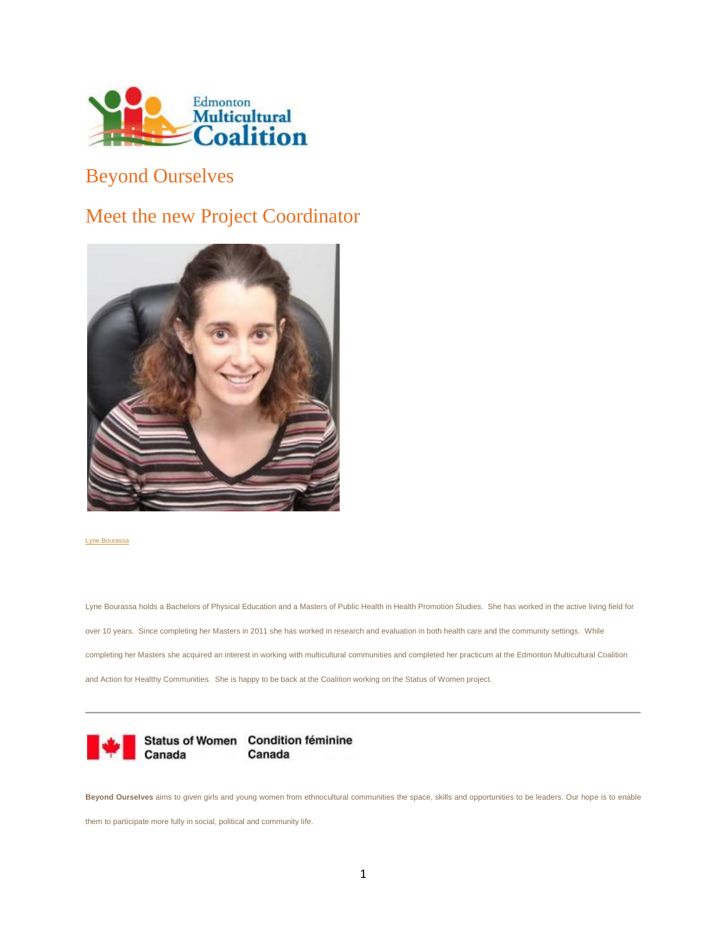

## Beyond Ourselves

# Meet the new Project Coordinator



#### [Lyne Bourassa](http://www.emcoalition.ca/wp-content/uploads/2014/06/LyneBourassa_women1.jpg)

Lyne Bourassa holds a Bachelors of Physical Education and a Masters of Public Health in Health Promotion Studies. She has worked in the active living field for over 10 years. Since completing her Masters in 2011 she has worked in research and evaluation in both health care and the community settings. While completing her Masters she acquired an interest in working with multicultural communities and completed her practicum at the Edmonton Multicultural Coalition and Action for Healthy Communities. She is happy to be back at the Coalition working on the Status of Women project.



**Beyond Ourselves** aims to given girls and young women from ethnocultural communities the space, skills and opportunities to be leaders. Our hope is to enable

them to participate more fully in social, political and community life.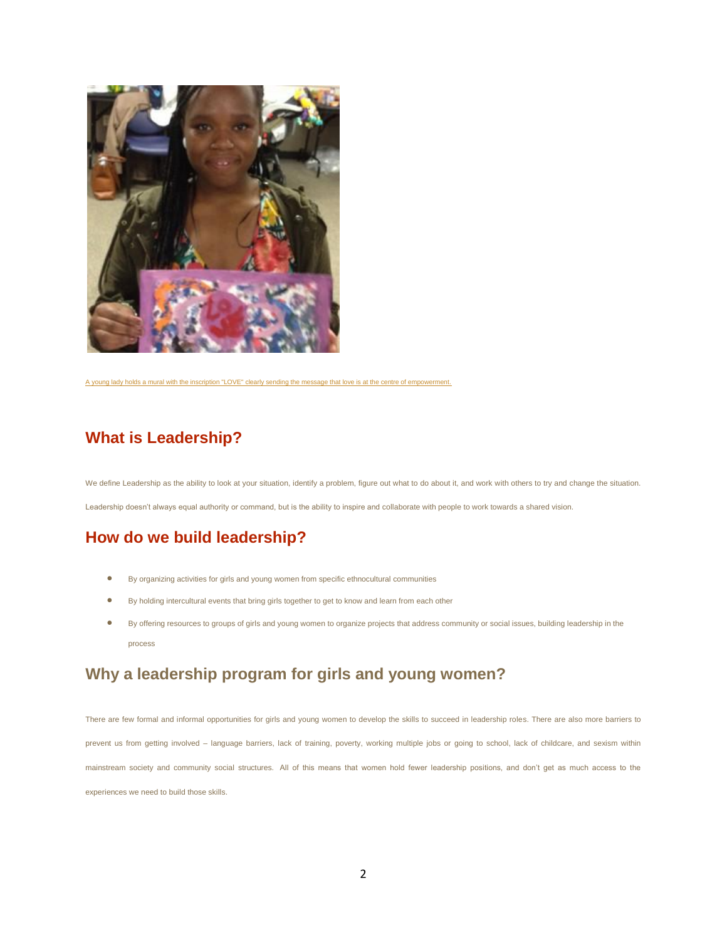

[A young lady holds a mural with the inscription "LOVE" clearly sending the message that love is at the centre of empowerment.](http://www.emcoalition.ca/wp-content/uploads/2013/09/Beyond-Ourselves_IMG_0300.jpg)

#### **What is Leadership?**

We define Leadership as the ability to look at your situation, identify a problem, figure out what to do about it, and work with others to try and change the situation. Leadership doesn't always equal authority or command, but is the ability to inspire and collaborate with people to work towards a shared vision.

## **How do we build leadership?**

- By organizing activities for girls and young women from specific ethnocultural communities
- By holding intercultural events that bring girls together to get to know and learn from each other
- By offering resources to groups of girls and young women to organize projects that address community or social issues, building leadership in the process

### **Why a leadership program for girls and young women?**

There are few formal and informal opportunities for girls and young women to develop the skills to succeed in leadership roles. There are also more barriers to prevent us from getting involved – language barriers, lack of training, poverty, working multiple jobs or going to school, lack of childcare, and sexism within mainstream society and community social structures. All of this means that women hold fewer leadership positions, and don't get as much access to the experiences we need to build those skills.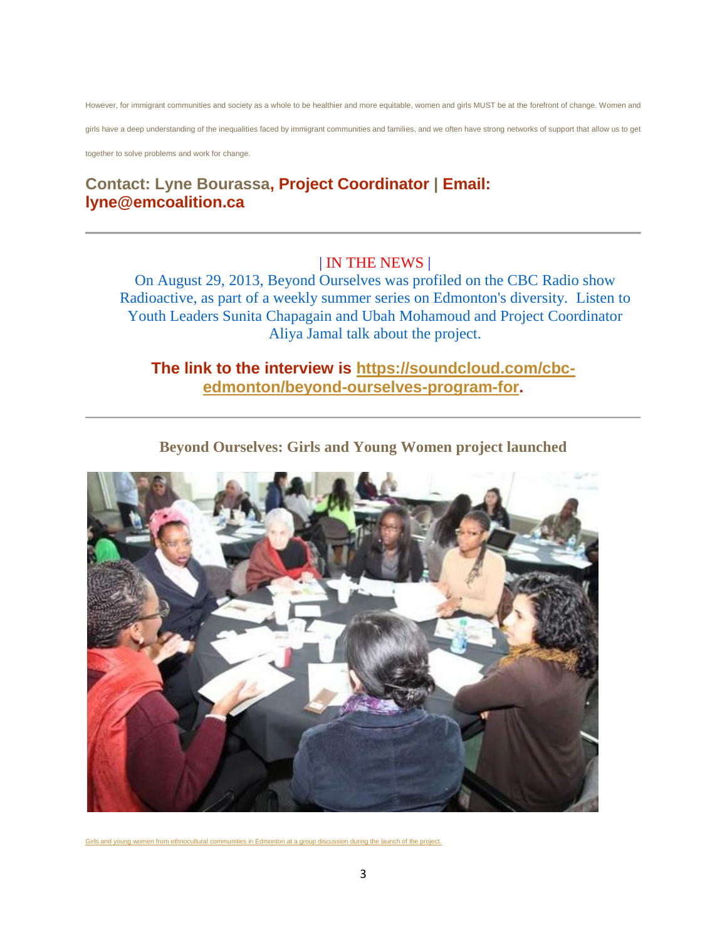However, for immigrant communities and society as a whole to be healthier and more equitable, women and girls MUST be at the forefront of change. Women and

girls have a deep understanding of the inequalities faced by immigrant communities and families, and we often have strong networks of support that allow us to get

together to solve problems and work for change.

### **Contact: Lyne Bourassa, Project Coordinator | Email: lyne@emcoalition.ca**

#### | IN THE NEWS |

On August 29, 2013, Beyond Ourselves was profiled on the CBC Radio show Radioactive, as part of a weekly summer series on Edmonton's diversity. Listen to Youth Leaders Sunita Chapagain and Ubah Mohamoud and Project Coordinator Aliya Jamal talk about the project.

#### **The link to the interview is [https://soundcloud.com/cbc](https://soundcloud.com/cbc-edmonton/beyond-ourselves-program-for)[edmonton/beyond-ourselves-program-for.](https://soundcloud.com/cbc-edmonton/beyond-ourselves-program-for)**



**Beyond Ourselves: Girls and Young Women project launched**